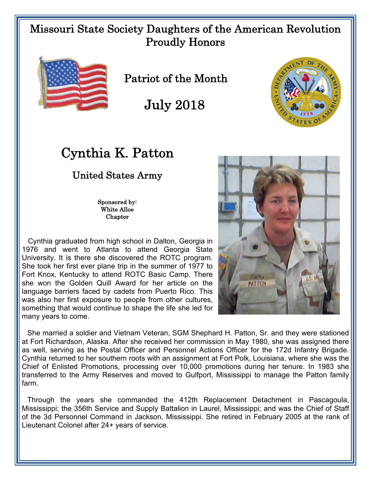## Missouri State Society Daughters of the American Revolution Proudly Honors



Patriot of the Month

July 2018



## Cynthia K. Patton

## United States Army

Sponsored by: White Alloe Chapter

 Cynthia graduated from high school in Dalton, Georgia in 1976 and went to Atlanta to attend Georgia State University. It is there she discovered the ROTC program. She took her first ever plane trip in the summer of 1977 to Fort Knox, Kentucky to attend ROTC Basic Camp. There she won the Golden Quill Award for her article on the language barriers faced by cadets from Puerto Rico. This was also her first exposure to people from other cultures, something that would continue to shape the life she led for many years to come.



She married a soldier and Vietnam Veteran, SGM Shephard H. Patton, Sr. and they were stationed at Fort Richardson, Alaska. After she received her commission in May 1980, she was assigned there as well, serving as the Postal Officer and Personnel Actions Officer for the 172d Infantry Brigade. Cynthia returned to her southern roots with an assignment at Fort Polk, Louisiana, where she was the Chief of Enlisted Promotions, processing over 10,000 promotions during her tenure. In 1983 she transferred to the Army Reserves and moved to Gulfport, Mississippi to manage the Patton family farm.

Through the years she commanded the 412th Replacement Detachment in Pascagoula, Mississippi; the 356th Service and Supply Battalion in Laurel, Mississippi; and was the Chief of Staff of the 3d Personnel Command in Jackson, Mississippi. She retired in February 2005 at the rank of Lieutenant Colonel after 24+ years of service.